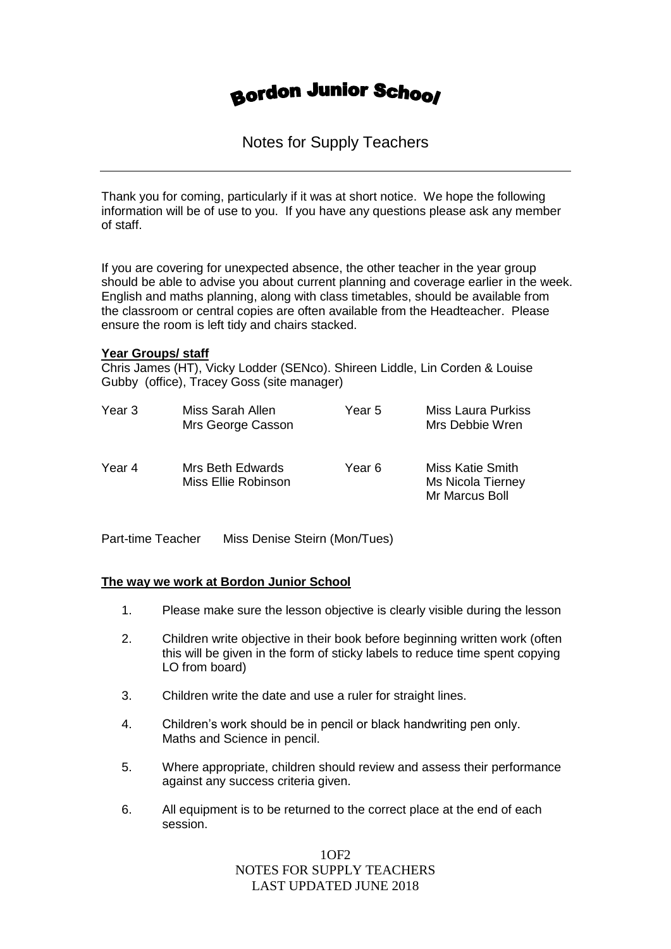# **Bordon Junior School**

Notes for Supply Teachers

Thank you for coming, particularly if it was at short notice. We hope the following information will be of use to you. If you have any questions please ask any member of staff.

If you are covering for unexpected absence, the other teacher in the year group should be able to advise you about current planning and coverage earlier in the week. English and maths planning, along with class timetables, should be available from the classroom or central copies are often available from the Headteacher. Please ensure the room is left tidy and chairs stacked.

## **Year Groups/ staff**

Chris James (HT), Vicky Lodder (SENco). Shireen Liddle, Lin Corden & Louise Gubby (office), Tracey Goss (site manager)

| Year 3 | Miss Sarah Allen<br>Mrs George Casson   | Year 5 | <b>Miss Laura Purkiss</b><br>Mrs Debbie Wren                   |
|--------|-----------------------------------------|--------|----------------------------------------------------------------|
| Year 4 | Mrs Beth Edwards<br>Miss Ellie Robinson | Year 6 | Miss Katie Smith<br><b>Ms Nicola Tierney</b><br>Mr Marcus Boll |

Part-time Teacher Miss Denise Steirn (Mon/Tues)

#### **The way we work at Bordon Junior School**

- 1. Please make sure the lesson objective is clearly visible during the lesson
- 2. Children write objective in their book before beginning written work (often this will be given in the form of sticky labels to reduce time spent copying LO from board)
- 3. Children write the date and use a ruler for straight lines.
- 4. Children's work should be in pencil or black handwriting pen only. Maths and Science in pencil.
- 5. Where appropriate, children should review and assess their performance against any success criteria given.
- 6. All equipment is to be returned to the correct place at the end of each session.

1OF2 NOTES FOR SUPPLY TEACHERS LAST UPDATED JUNE 2018